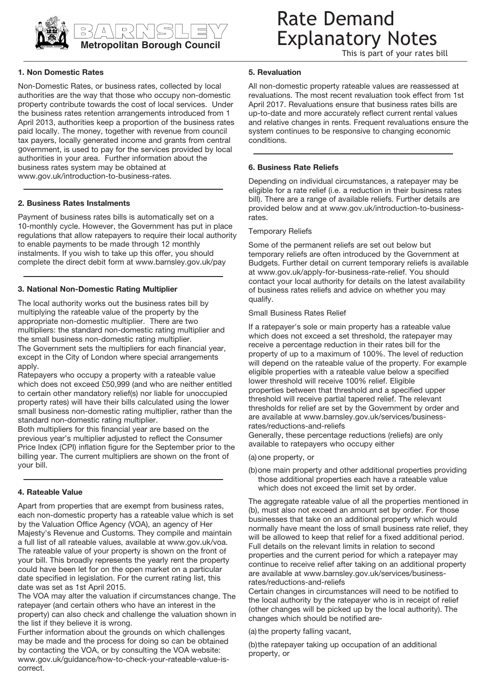

# BARNSLEY **Metropolitan Borough Council**

# Rate Demand Explanatory Notes

This is part of your rates bill

# **1. Non Domestic Rates**

Non-Domestic Rates, or business rates, collected by local authorities are the way that those who occupy non-domestic property contribute towards the cost of local services. Under the business rates retention arrangements introduced from 1 April 2013, authorities keep a proportion of the business rates paid locally. The money, together with revenue from council tax payers, locally generated income and grants from central government, is used to pay for the services provided by local authorities in your area. Further information about the business rates system may be obtained at www.gov.uk/introduction-to-business-rates.

#### **2. Business Rates Instalments**

Payment of business rates bills is automatically set on a 10-monthly cycle. However, the Government has put in place regulations that allow ratepayers to require their local authority to enable payments to be made through 12 monthly instalments. If you wish to take up this offer, you should complete the direct debit form at www.barnsley.gov.uk/pay

### **3. National Non-Domestic Rating Multiplier**

The local authority works out the business rates bill by multiplying the rateable value of the property by the appropriate non-domestic multiplier. There are two multipliers: the standard non-domestic rating multiplier and the small business non-domestic rating multiplier. The Government sets the multipliers for each financial year, except in the City of London where special arrangements apply.

Ratepayers who occupy a property with a rateable value which does not exceed £50,999 (and who are neither entitled to certain other mandatory relief(s) nor liable for unoccupied property rates) will have their bills calculated using the lower small business non-domestic rating multiplier, rather than the standard non-domestic rating multiplier.

Both multipliers for this financial year are based on the previous year's multiplier adjusted to reflect the Consumer Price Index (CPI) inflation figure for the September prior to the billing year. The current multipliers are shown on the front of your bill.

#### **4. Rateable Value**

Apart from properties that are exempt from business rates, each non-domestic property has a rateable value which is set by the Valuation Office Agency (VOA), an agency of Her Majesty's Revenue and Customs. They compile and maintain a full list of all rateable values, available at www.gov.uk/voa. The rateable value of your property is shown on the front of your bill. This broadly represents the yearly rent the property could have been let for on the open market on a particular date specified in legislation. For the current rating list, this date was set as 1st April 2015.

The VOA may alter the valuation if circumstances change. The ratepayer (and certain others who have an interest in the property) can also check and challenge the valuation shown in the list if they believe it is wrong.

Further information about the grounds on which challenges may be made and the process for doing so can be obtained by contacting the VOA, or by consulting the VOA website: www.gov.uk/guidance/how-to-check-your-rateable-value-iscorrect.

#### **5. Revaluation**

All non-domestic property rateable values are reassessed at revaluations. The most recent revaluation took effect from 1st April 2017. Revaluations ensure that business rates bills are up-to-date and more accurately reflect current rental values and relative changes in rents. Frequent revaluations ensure the system continues to be responsive to changing economic conditions.

#### **6. Business Rate Reliefs**

Depending on individual circumstances, a ratepayer may be eligible for a rate relief (i.e. a reduction in their business rates bill). There are a range of available reliefs. Further details are provided below and at www.gov.uk/introduction-to-businessrates.

#### Temporary Reliefs

Some of the permanent reliefs are set out below but temporary reliefs are often introduced by the Government at Budgets. Further detail on current temporary reliefs is available at www.gov.uk/apply-for-business-rate-relief. You should contact your local authority for details on the latest availability of business rates reliefs and advice on whether you may qualify.

#### Small Business Rates Relief

If a ratepayer's sole or main property has a rateable value which does not exceed a set threshold, the ratepayer may receive a percentage reduction in their rates bill for the property of up to a maximum of 100%. The level of reduction will depend on the rateable value of the property. For example eligible properties with a rateable value below a specified lower threshold will receive 100% relief. Eligible properties between that threshold and a specified upper threshold will receive partial tapered relief. The relevant thresholds for relief are set by the Government by order and are available at www.barnsley.gov.uk/services/businessrates/reductions-and-reliefs

Generally, these percentage reductions (reliefs) are only available to ratepayers who occupy either

#### (a)one property, or

(b)one main property and other additional properties providing those additional properties each have a rateable value which does not exceed the limit set by order.

The aggregate rateable value of all the properties mentioned in (b), must also not exceed an amount set by order. For those businesses that take on an additional property which would normally have meant the loss of small business rate relief, they will be allowed to keep that relief for a fixed additional period. Full details on the relevant limits in relation to second properties and the current period for which a ratepayer may continue to receive relief after taking on an additional property are available at www.barnsley.gov.uk/services/businessrates/reductions-and-reliefs

Certain changes in circumstances will need to be notified to the local authority by the ratepayer who is in receipt of relief (other changes will be picked up by the local authority). The changes which should be notified are-

(a) the property falling vacant,

(b)the ratepayer taking up occupation of an additional property, or